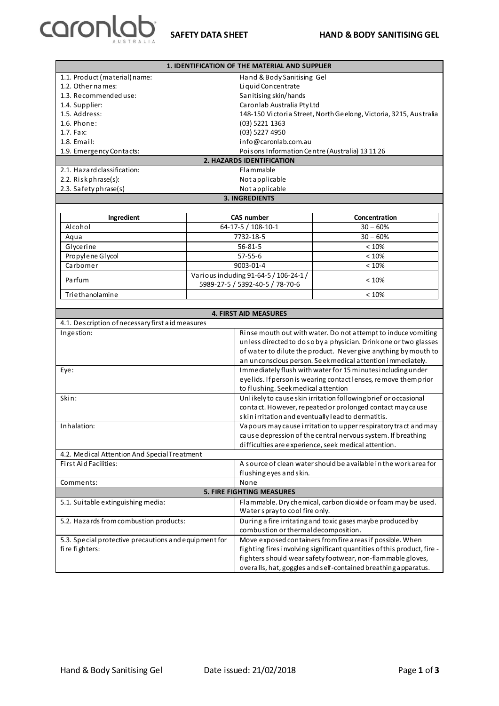

| 1. IDENTIFICATION OF THE MATERIAL AND SUPPLIER                          |  |                                                                                                |                                                                   |  |  |
|-------------------------------------------------------------------------|--|------------------------------------------------------------------------------------------------|-------------------------------------------------------------------|--|--|
| 1.1. Product (material) name:                                           |  | Hand & Body Sanitising Gel                                                                     |                                                                   |  |  |
| 1.2. Other names:                                                       |  | Liquid Concentrate                                                                             |                                                                   |  |  |
| 1.3. Recommended use:                                                   |  | Sanitising skin/hands                                                                          |                                                                   |  |  |
| 1.4. Supplier:                                                          |  |                                                                                                | Caronlab Australia Pty Ltd                                        |  |  |
| 1.5. Address:                                                           |  |                                                                                                | 148-150 Victoria Street, North Geelong, Victoria, 3215, Australia |  |  |
| 1.6. Phone:                                                             |  | (03) 5221 1363                                                                                 |                                                                   |  |  |
| 1.7. Fax:                                                               |  | (03) 5227 4950                                                                                 |                                                                   |  |  |
| 1.8. Email:                                                             |  | info@caronlab.com.au                                                                           |                                                                   |  |  |
| 1.9. Emergency Contacts:                                                |  | Poisons Information Centre (Australia) 13 11 26                                                |                                                                   |  |  |
| 2. HAZARDS IDENTIFICATION                                               |  |                                                                                                |                                                                   |  |  |
| 2.1. Hazard classification:                                             |  | Flammable                                                                                      |                                                                   |  |  |
| 2.2. Riskphrase(s):                                                     |  | Not applicable                                                                                 |                                                                   |  |  |
| 2.3. Safety phrase(s)                                                   |  | Not applicable                                                                                 |                                                                   |  |  |
|                                                                         |  | <b>3. INGREDIENTS</b>                                                                          |                                                                   |  |  |
|                                                                         |  |                                                                                                |                                                                   |  |  |
| Ingredient                                                              |  | CAS number                                                                                     | Concentration                                                     |  |  |
| Alcohol                                                                 |  | 64-17-5 / 108-10-1                                                                             | $30 - 60%$                                                        |  |  |
| Aqua                                                                    |  | 7732-18-5                                                                                      | $30 - 60%$                                                        |  |  |
| Glycerine                                                               |  | $56 - 81 - 5$                                                                                  | < 10%                                                             |  |  |
| Propylene Glycol                                                        |  | $57 - 55 - 6$                                                                                  | < 10%                                                             |  |  |
| Carbomer                                                                |  | 9003-01-4                                                                                      | < 10%                                                             |  |  |
| Parfum                                                                  |  | Various induding 91-64-5 / 106-24-1 /<br>5989-27-5 / 5392-40-5 / 78-70-6                       | < 10%                                                             |  |  |
| Triethanolamine                                                         |  |                                                                                                | < 10%                                                             |  |  |
|                                                                         |  |                                                                                                |                                                                   |  |  |
|                                                                         |  | <b>4. FIRST AID MEASURES</b>                                                                   |                                                                   |  |  |
| 4.1. Description of necessary first aid measures                        |  |                                                                                                |                                                                   |  |  |
| Ingestion:                                                              |  | Rinse mouth out with water. Do not attempt to induce vomiting                                  |                                                                   |  |  |
|                                                                         |  | unless directed to dosoby a physician. Drink one or two glasses                                |                                                                   |  |  |
|                                                                         |  | of water to dilute the product. Never give anything by mouth to                                |                                                                   |  |  |
|                                                                         |  |                                                                                                | an unconscious person. Seek medical attention immediately.        |  |  |
| Eye:                                                                    |  | Immediately flush with water for 15 minutes including under                                    |                                                                   |  |  |
|                                                                         |  | eyelids. If person is wearing contact lenses, remove them prior                                |                                                                   |  |  |
|                                                                         |  | to flushing. Seek medical attention                                                            |                                                                   |  |  |
| Skin:                                                                   |  | Unlikely to cause skin irritation following brief or occasional                                |                                                                   |  |  |
|                                                                         |  | contact. However, repeated or prolonged contact may cause                                      |                                                                   |  |  |
|                                                                         |  | skinirritation and eventually lead to dermatitis.                                              |                                                                   |  |  |
| Inhalation:                                                             |  | Vapours may cause i rritation to upper respiratory tract and may                               |                                                                   |  |  |
|                                                                         |  | cause depression of the central nervous system. If breathing                                   |                                                                   |  |  |
|                                                                         |  | difficulties are experience, seek medical attention.                                           |                                                                   |  |  |
| 4.2. Medical Attention And Special Treatment                            |  |                                                                                                |                                                                   |  |  |
| First Aid Facilities:                                                   |  | A source of clean water should be a vailable in the work a rea for                             |                                                                   |  |  |
|                                                                         |  | flushing eyes and skin.                                                                        |                                                                   |  |  |
| Comments:                                                               |  | None                                                                                           |                                                                   |  |  |
| <b>5. FIRE FIGHTING MEASURES</b>                                        |  |                                                                                                |                                                                   |  |  |
| 5.1. Suitable extinguishing media:                                      |  | Flammable. Dry chemical, carbon dioxide or foam may be used.<br>Water spray to cool fire only. |                                                                   |  |  |
| 5.2. Hazards from combustion products:                                  |  | During a fire irritating and toxic gases maybe produced by                                     |                                                                   |  |  |
|                                                                         |  | combustion or thermal decomposition.                                                           |                                                                   |  |  |
| 5.3. Special protective precautions and equipment for<br>fire fighters: |  |                                                                                                | Move exposed containers from fire a reasif possible. When         |  |  |
|                                                                         |  | fighting fires involving significant quantities of this product, fire -                        |                                                                   |  |  |
|                                                                         |  |                                                                                                |                                                                   |  |  |
|                                                                         |  |                                                                                                | fighters should wear safety footwear, non-flammable gloves,       |  |  |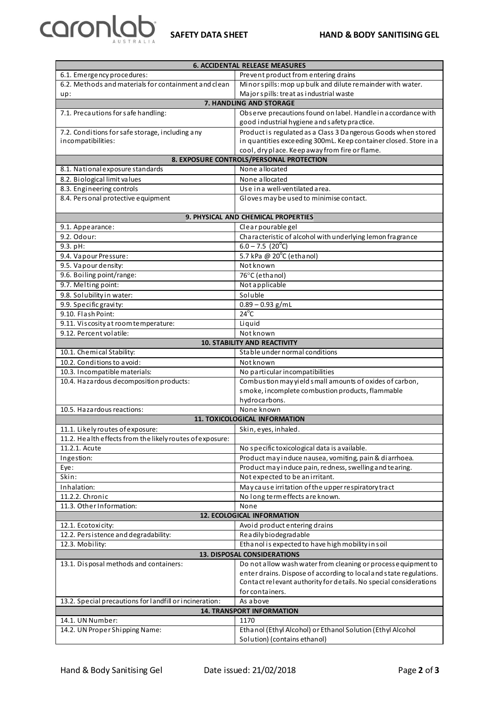



| <b>6. ACCIDENTAL RELEASE MEASURES</b>                    |                                                                                            |  |  |
|----------------------------------------------------------|--------------------------------------------------------------------------------------------|--|--|
| 6.1. Emergency procedures:                               | Prevent product from entering drains                                                       |  |  |
| 6.2. Methods and materials for containment and clean     | Minor spills: mop up bulk and dilute remainder with water.                                 |  |  |
| up:                                                      | Major spills: treat as industrial waste                                                    |  |  |
| 7. HANDLING AND STORAGE                                  |                                                                                            |  |  |
| 7.1. Precautions for safe handling:                      | Observe precautions found on label. Handlein accordance with                               |  |  |
|                                                          | good industrial hygiene and safety practice.                                               |  |  |
| 7.2. Conditions for safe storage, including any          | Product is regulated as a Class 3 Dangerous Goods when stored                              |  |  |
| incompatibilities:                                       | in quantities exceeding 300mL. Keep container closed. Store in a                           |  |  |
|                                                          | cool, dry place. Keep away from fire or flame.                                             |  |  |
|                                                          | 8. EXPOSURE CONTROLS/PERSONAL PROTECTION                                                   |  |  |
| 8.1. National exposure standards                         | None allocated                                                                             |  |  |
| 8.2. Biological limit values                             | None allocated                                                                             |  |  |
| 8.3. Engineering controls                                | Use in a well-ventilated a rea.                                                            |  |  |
| 8.4. Personal protective equipment                       | Gloves may be used to minimise contact.                                                    |  |  |
|                                                          |                                                                                            |  |  |
|                                                          | 9. PHYSICAL AND CHEMICAL PROPERTIES                                                        |  |  |
| 9.1. Appearance:                                         | Clear pourable gel                                                                         |  |  |
| 9.2. Odour:                                              | Characteristic of alcohol with underlying lemon fragrance                                  |  |  |
| 9.3. pH:                                                 | $6.0 - 7.5$ (20 <sup>°</sup> C)                                                            |  |  |
| 9.4. Vapour Pressure:                                    | 5.7 kPa @ 20°C (ethanol)                                                                   |  |  |
| 9.5. Vapour density:                                     | Not known                                                                                  |  |  |
| 9.6. Boiling point/range:                                | 76°C (ethanol)                                                                             |  |  |
| 9.7. Melting point:                                      | Not applicable                                                                             |  |  |
| 9.8. Solubility in water:                                | Soluble                                                                                    |  |  |
| 9.9. Specific gravity:                                   | $0.89 - 0.93$ g/mL                                                                         |  |  |
| 9.10. Flash Point:                                       | $24^{\circ}$ C                                                                             |  |  |
| 9.11. Viscosity at room temperature:                     | Liquid                                                                                     |  |  |
| 9.12. Percent volatile:                                  | Notknown                                                                                   |  |  |
|                                                          | <b>10. STABILITY AND REACTIVITY</b>                                                        |  |  |
| 10.1. Chemical Stability:                                | Stable under normal conditions                                                             |  |  |
| 10.2. Conditions to a void:                              |                                                                                            |  |  |
| 10.3. Incompatible materials:                            | Notknown                                                                                   |  |  |
| 10.4. Hazardous decomposition products:                  | No particular incompatibilities<br>Combustion may yield small amounts of oxides of carbon, |  |  |
|                                                          |                                                                                            |  |  |
|                                                          | smoke, incomplete combustion products, flammable                                           |  |  |
| 10.5. Hazardous reactions:                               | hydrocarbons.<br>None known                                                                |  |  |
|                                                          | 11. TOXICOLOGICAL INFORMATION                                                              |  |  |
|                                                          |                                                                                            |  |  |
| 11.1. Likely routes of exposure:                         | Skin, eyes, inhaled.                                                                       |  |  |
| 11.2. Health effects from the likely routes of exposure: |                                                                                            |  |  |
| 11.2.1. Acute                                            | No specific toxicological data is a vailable.                                              |  |  |
| Ingestion:                                               | Product may induce nausea, vomiting, pain & diarrhoea.                                     |  |  |
| Eye:                                                     | Product may induce pain, redness, swelling and tearing.                                    |  |  |
| Skin:                                                    | Not expected to be an irritant.                                                            |  |  |
| Inhalation:                                              | May cause irritation of the upper respiratory tract                                        |  |  |
| 11.2.2. Chronic                                          | No long term effects are known.                                                            |  |  |
| 11.3. Other Information:                                 | None                                                                                       |  |  |
| 12. ECOLOGICAL INFORMATION                               |                                                                                            |  |  |
| 12.1. Ecotoxicity:                                       | Avoid product entering drains                                                              |  |  |
| 12.2. Persistence and degradability:                     | Readily biodegradable                                                                      |  |  |
| 12.3. Mobility:                                          | Ethanol is expected to have high mobility in soil                                          |  |  |
| 13. DISPOSAL CONSIDERATIONS                              |                                                                                            |  |  |
| 13.1. Disposal methods and containers:                   | Do not allow wash water from cleaning or process equipment to                              |  |  |
|                                                          | enter drains. Dispose of according to local and state regulations.                         |  |  |
|                                                          | Contact relevant authority for details. No special considerations                          |  |  |
|                                                          | for containers.                                                                            |  |  |
| 13.2. Special precautions for landfill or incineration:  | As above                                                                                   |  |  |
| 14. TRANSPORT INFORMATION                                |                                                                                            |  |  |
| 14.1. UN Number:                                         | 1170                                                                                       |  |  |
| 14.2. UN Proper Shipping Name:                           | Ethanol (Ethyl Alcohol) or Ethanol Solution (Ethyl Alcohol                                 |  |  |
|                                                          | Solution) (contains ethanol)                                                               |  |  |